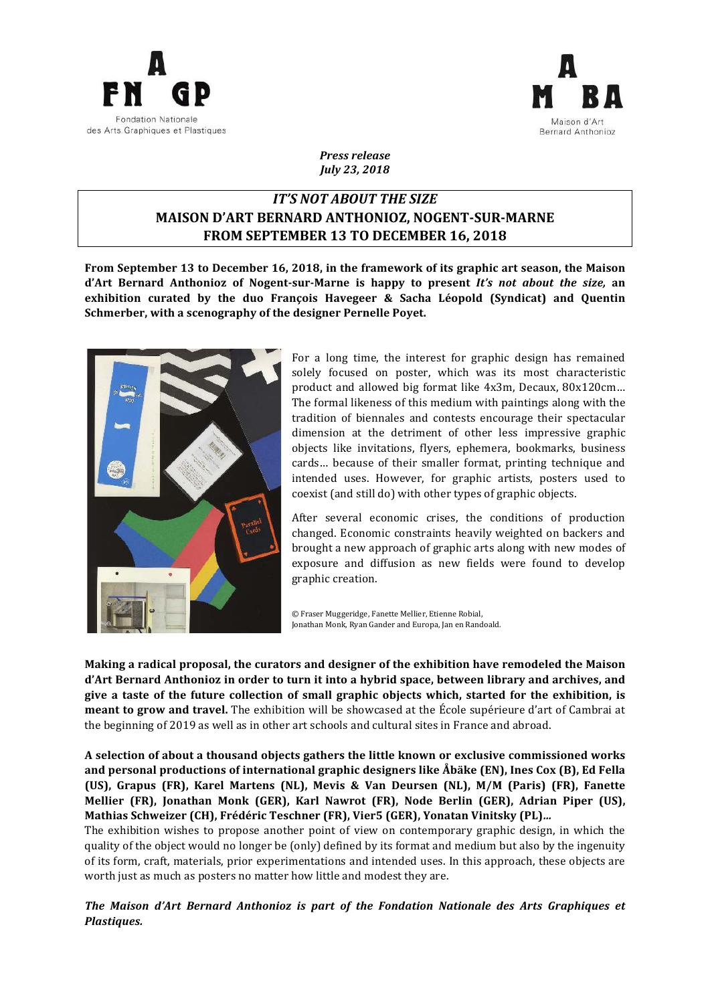



*Press release July 23, 2018*

# *IT'S* NOT ABOUT THE SIZE **MAISON D'ART BERNARD ANTHONIOZ, NOGENT-SUR-MARNE** FROM SEPTEMBER 13 TO DECEMBER 16, 2018

From September 13 to December 16, 2018, in the framework of its graphic art season, the Maison **d'Art Bernard Anthonioz of Nogent-sur-Marne** is happy to present *It's not about the size*, an exhibition curated by the duo François Havegeer & Sacha Léopold (Syndicat) and Quentin **Schmerber, with a scenography of the designer Pernelle Poyet.** 



For a long time, the interest for graphic design has remained solely focused on poster, which was its most characteristic product and allowed big format like 4x3m, Decaux, 80x120cm... The formal likeness of this medium with paintings along with the tradition of biennales and contests encourage their spectacular dimension at the detriment of other less impressive graphic objects like invitations, flyers, ephemera, bookmarks, business cards... because of their smaller format, printing technique and intended uses. However, for graphic artists, posters used to coexist (and still do) with other types of graphic objects.

After several economic crises, the conditions of production changed. Economic constraints heavily weighted on backers and brought a new approach of graphic arts along with new modes of exposure and diffusion as new fields were found to develop graphic creation.

© Fraser Muggeridge, Fanette Mellier, Etienne Robial, Jonathan Monk, Ryan Gander and Europa, Jan en Randoald.

Making a radical proposal, the curators and designer of the exhibition have remodeled the Maison d'Art Bernard Anthonioz in order to turn it into a hybrid space, between library and archives, and give a taste of the future collection of small graphic objects which, started for the exhibition, is **meant to grow and travel.** The exhibition will be showcased at the École supérieure d'art of Cambrai at the beginning of 2019 as well as in other art schools and cultural sites in France and abroad.

A selection of about a thousand objects gathers the little known or exclusive commissioned works and personal productions of international graphic designers like Åbäke (EN), Ines Cox (B), Ed Fella **(US), Grapus (FR), Karel Martens (NL), Mevis & Van Deursen (NL), M/M (Paris) (FR), Fanette Mellier (FR), Jonathan Monk (GER), Karl Nawrot (FR), Node Berlin (GER), Adrian Piper (US),** Mathias Schweizer (CH), Frédéric Teschner (FR), Vier5 (GER), Yonatan Vinitsky (PL)...

The exhibition wishes to propose another point of view on contemporary graphic design, in which the quality of the object would no longer be (only) defined by its format and medium but also by the ingenuity of its form, craft, materials, prior experimentations and intended uses. In this approach, these objects are worth just as much as posters no matter how little and modest they are.

*The Maison d'Art Bernard Anthonioz is part of the Fondation Nationale des Arts Graphiques et Plastiques.*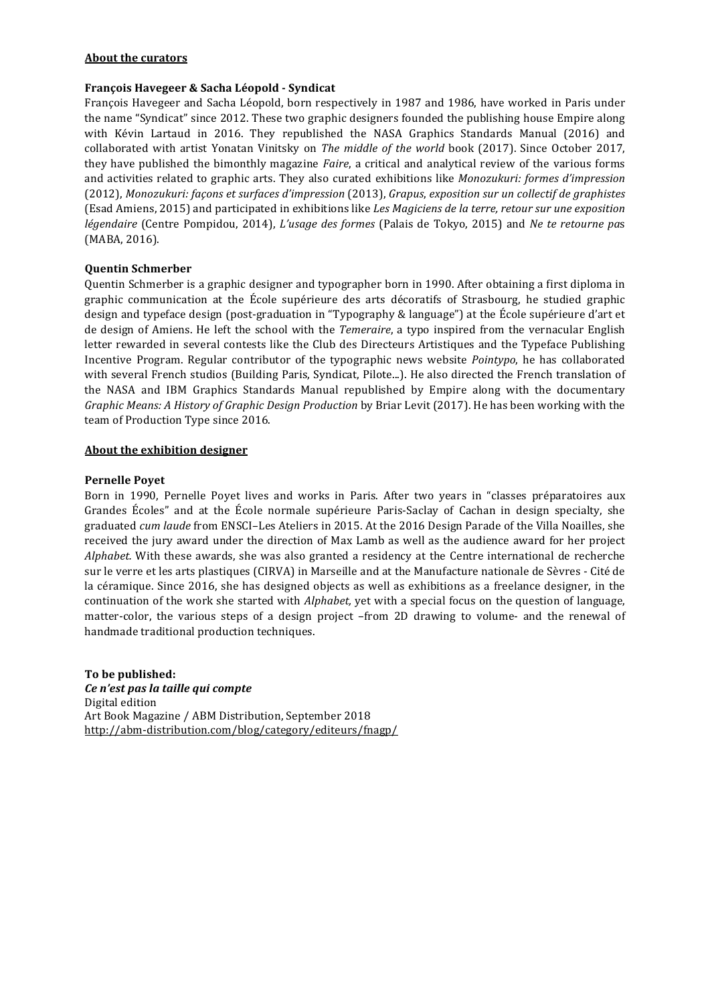### **About the curators**

### François Havegeer & Sacha Léopold - Syndicat

François Havegeer and Sacha Léopold, born respectively in 1987 and 1986, have worked in Paris under the name "Syndicat" since 2012. These two graphic designers founded the publishing house Empire along with Kévin Lartaud in 2016. They republished the NASA Graphics Standards Manual (2016) and collaborated with artist Yonatan Vinitsky on *The middle of the world* book (2017). Since October 2017, they have published the bimonthly magazine *Faire*, a critical and analytical review of the various forms and activities related to graphic arts. They also curated exhibitions like *Monozukuri: formes d'impression* (2012), *Monozukuri: façons et surfaces d'impression* (2013), *Grapus*, *exposition sur un collectif de graphistes* (Esad Amiens, 2015) and participated in exhibitions like Les Magiciens de la terre, retour sur une exposition *légendaire* (Centre Pompidou, 2014), *L'usage des formes* (Palais de Tokyo, 2015) and *Ne te retourne pas* (MABA, 2016).

### **Quentin Schmerber**

Quentin Schmerber is a graphic designer and typographer born in 1990. After obtaining a first diploma in graphic communication at the École supérieure des arts décoratifs of Strasbourg, he studied graphic design and typeface design (post-graduation in "Typography & language") at the École supérieure d'art et de design of Amiens. He left the school with the *Temeraire*, a typo inspired from the vernacular English letter rewarded in several contests like the Club des Directeurs Artistiques and the Typeface Publishing Incentive Program. Regular contributor of the typographic news website *Pointypo*, he has collaborated with several French studios (Building Paris, Syndicat, Pilote...). He also directed the French translation of the NASA and IBM Graphics Standards Manual republished by Empire along with the documentary *Graphic Means: A History of Graphic Design Production* by Briar Levit (2017). He has been working with the team of Production Type since 2016.

#### **About the exhibition designer**

### **Pernelle Poyet**

Born in 1990, Pernelle Poyet lives and works in Paris. After two years in "classes préparatoires aux Grandes Écoles" and at the École normale supérieure Paris-Saclay of Cachan in design specialty, she graduated *cum laude* from ENSCI-Les Ateliers in 2015. At the 2016 Design Parade of the Villa Noailles, she received the jury award under the direction of Max Lamb as well as the audience award for her project *Alphabet.* With these awards, she was also granted a residency at the Centre international de recherche sur le verre et les arts plastiques (CIRVA) in Marseille and at the Manufacture nationale de Sèvres - Cité de la céramique. Since 2016, she has designed objects as well as exhibitions as a freelance designer, in the continuation of the work she started with *Alphabet*, yet with a special focus on the question of language, matter-color, the various steps of a design project -from 2D drawing to volume- and the renewal of handmade traditional production techniques.

To be published: *Ce n'est pas la taille qui compte* Digital edition Art Book Magazine / ABM Distribution, September 2018 http://abm-distribution.com/blog/category/editeurs/fnagp/